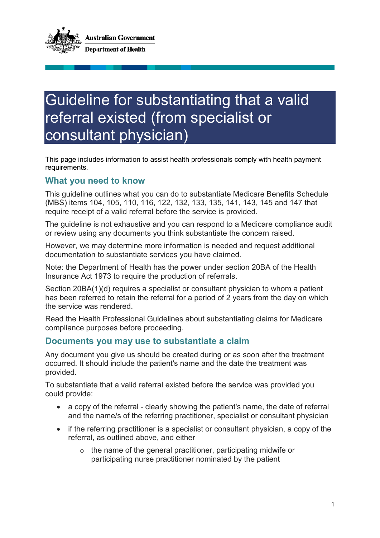

## Guideline for substantiating that a valid referral existed (from specialist or consultant physician)

This page includes information to assist health professionals comply with health payment requirements.

## **What you need to know**

This guideline outlines what you can do to substantiate Medicare Benefits Schedule (MBS) items 104, 105, 110, 116, 122, 132, 133, 135, 141, 143, 145 and 147 that require receipt of a valid referral before the service is provided.

The guideline is not exhaustive and you can respond to a Medicare compliance audit or review using any documents you think substantiate the concern raised.

However, we may determine more information is needed and request additional documentation to substantiate services you have claimed.

Note: the Department of Health has the power under section 20BA of the Health Insurance Act 1973 to require the production of referrals.

Section 20BA(1)(d) requires a specialist or consultant physician to whom a patient has been referred to retain the referral for a period of 2 years from the day on which the service was rendered.

Read the Health Professional Guidelines about substantiating claims for Medicare compliance purposes before proceeding.

## **Documents you may use to substantiate a claim**

Any document you give us should be created during or as soon after the treatment occurred. It should include the patient's name and the date the treatment was provided.

To substantiate that a valid referral existed before the service was provided you could provide:

- a copy of the referral clearly showing the patient's name, the date of referral and the name/s of the referring practitioner, specialist or consultant physician
- if the referring practitioner is a specialist or consultant physician, a copy of the referral, as outlined above, and either
	- o the name of the general practitioner, participating midwife or participating nurse practitioner nominated by the patient